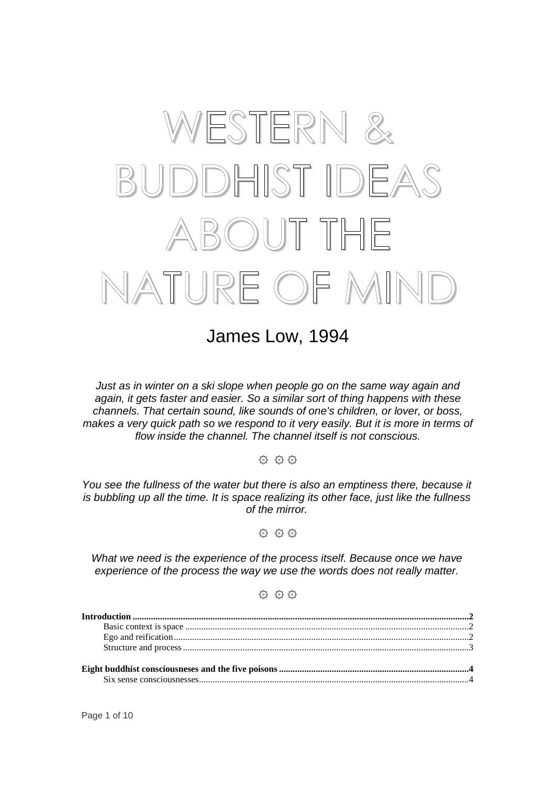# WESTERN & BUDDHIST IDEAS **BOUT THE** NATURE OF MIND

James Low, 1994

Just as in winter on a ski slope when people go on the same way again and again, it gets faster and easier. So a similar sort of thing happens with these channels. That certain sound, like sounds of one's children, or lover, or boss, makes a very quick path so we respond to it very easily. But it is more in terms of flow inside the channel. The channel itself is not conscious.

 $Q$   $Q$ 

You see the fullness of the water but there is also an emptiness there, because it is bubbling up all the time. It is space realizing its other face, just like the fullness of the mirror.

 $Q$   $Q$   $Q$ 

What we need is the experience of the process itself. Because once we have experience of the process the way we use the words does not really matter.

 $Q$   $Q$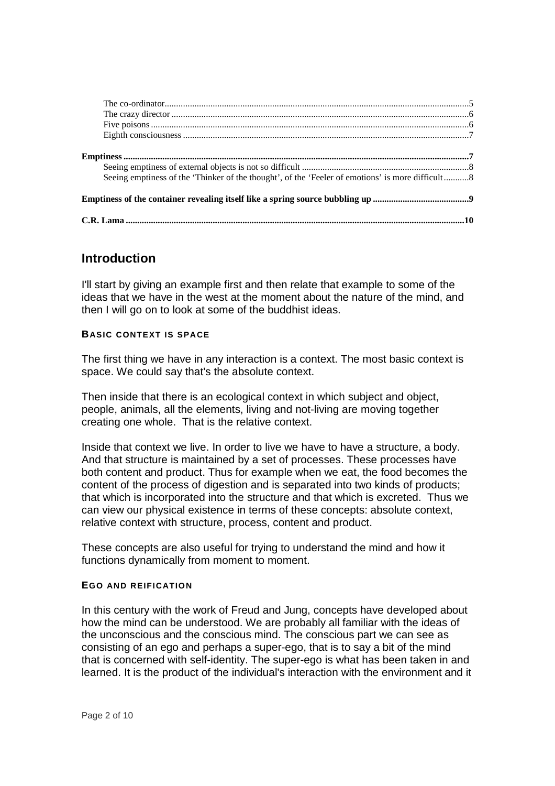| Seeing emptiness of the 'Thinker of the thought', of the 'Feeler of emotions' is more difficult8 |  |
|--------------------------------------------------------------------------------------------------|--|
|                                                                                                  |  |
|                                                                                                  |  |

## **Introduction**

I'll start by giving an example first and then relate that example to some of the ideas that we have in the west at the moment about the nature of the mind, and then I will go on to look at some of the buddhist ideas.

#### **BASIC CONTEXT IS SPACE**

The first thing we have in any interaction is a context. The most basic context is space. We could say that's the absolute context.

Then inside that there is an ecological context in which subject and object, people, animals, all the elements, living and not-living are moving together creating one whole. That is the relative context.

Inside that context we live. In order to live we have to have a structure, a body. And that structure is maintained by a set of processes. These processes have both content and product. Thus for example when we eat, the food becomes the content of the process of digestion and is separated into two kinds of products; that which is incorporated into the structure and that which is excreted. Thus we can view our physical existence in terms of these concepts: absolute context, relative context with structure, process, content and product.

These concepts are also useful for trying to understand the mind and how it functions dynamically from moment to moment.

#### **EGO AND REIFICATION**

In this century with the work of Freud and Jung, concepts have developed about how the mind can be understood. We are probably all familiar with the ideas of the unconscious and the conscious mind. The conscious part we can see as consisting of an ego and perhaps a super-ego, that is to say a bit of the mind that is concerned with self-identity. The super-ego is what has been taken in and learned. It is the product of the individual's interaction with the environment and it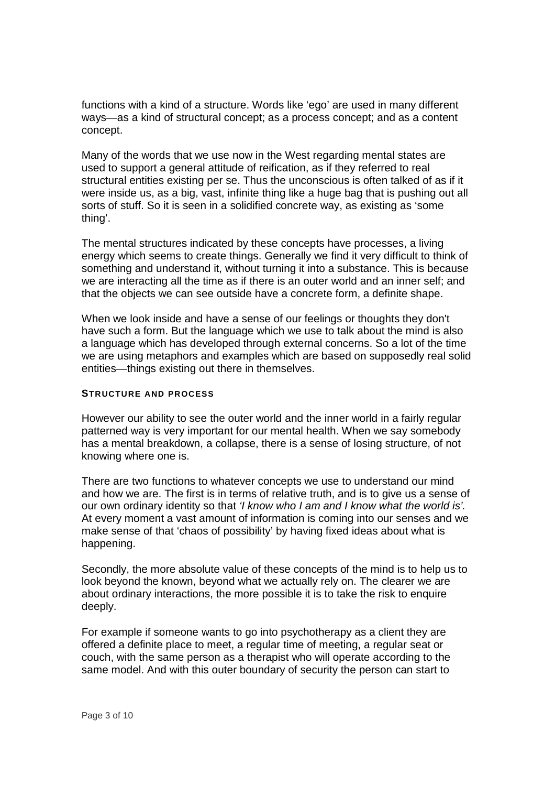functions with a kind of a structure. Words like 'ego' are used in many different ways—as a kind of structural concept; as a process concept; and as a content concept.

Many of the words that we use now in the West regarding mental states are used to support a general attitude of reification, as if they referred to real structural entities existing per se. Thus the unconscious is often talked of as if it were inside us, as a big, vast, infinite thing like a huge bag that is pushing out all sorts of stuff. So it is seen in a solidified concrete way, as existing as 'some thing'.

The mental structures indicated by these concepts have processes, a living energy which seems to create things. Generally we find it very difficult to think of something and understand it, without turning it into a substance. This is because we are interacting all the time as if there is an outer world and an inner self; and that the objects we can see outside have a concrete form, a definite shape.

When we look inside and have a sense of our feelings or thoughts they don't have such a form. But the language which we use to talk about the mind is also a language which has developed through external concerns. So a lot of the time we are using metaphors and examples which are based on supposedly real solid entities—things existing out there in themselves.

#### **STRUCTURE AND PROCESS**

However our ability to see the outer world and the inner world in a fairly regular patterned way is very important for our mental health. When we say somebody has a mental breakdown, a collapse, there is a sense of losing structure, of not knowing where one is.

There are two functions to whatever concepts we use to understand our mind and how we are. The first is in terms of relative truth, and is to give us a sense of our own ordinary identity so that 'I know who I am and I know what the world is'. At every moment a vast amount of information is coming into our senses and we make sense of that 'chaos of possibility' by having fixed ideas about what is happening.

Secondly, the more absolute value of these concepts of the mind is to help us to look beyond the known, beyond what we actually rely on. The clearer we are about ordinary interactions, the more possible it is to take the risk to enquire deeply.

For example if someone wants to go into psychotherapy as a client they are offered a definite place to meet, a regular time of meeting, a regular seat or couch, with the same person as a therapist who will operate according to the same model. And with this outer boundary of security the person can start to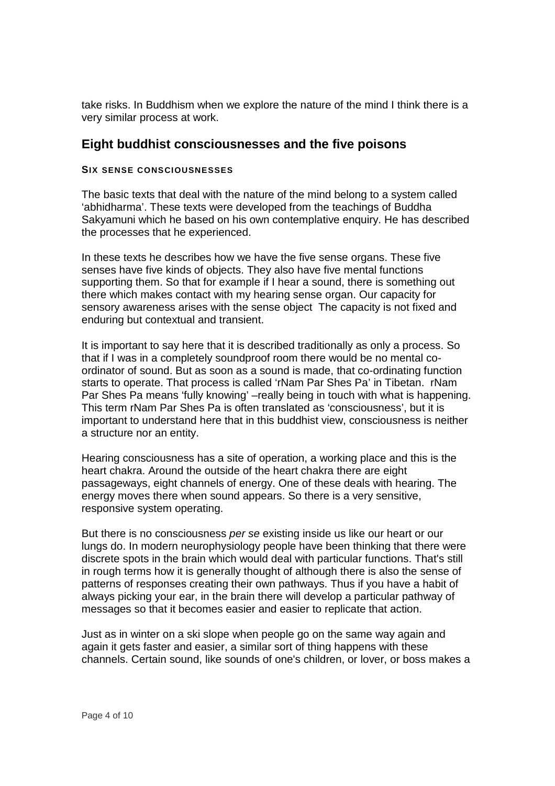take risks. In Buddhism when we explore the nature of the mind I think there is a very similar process at work.

## **Eight buddhist consciousnesses and the five poisons**

#### **SIX SENSE CONSCIOUSNESSES**

The basic texts that deal with the nature of the mind belong to a system called 'abhidharma'. These texts were developed from the teachings of Buddha Sakyamuni which he based on his own contemplative enquiry. He has described the processes that he experienced.

In these texts he describes how we have the five sense organs. These five senses have five kinds of objects. They also have five mental functions supporting them. So that for example if I hear a sound, there is something out there which makes contact with my hearing sense organ. Our capacity for sensory awareness arises with the sense object The capacity is not fixed and enduring but contextual and transient.

It is important to say here that it is described traditionally as only a process. So that if I was in a completely soundproof room there would be no mental coordinator of sound. But as soon as a sound is made, that co-ordinating function starts to operate. That process is called 'rNam Par Shes Pa' in Tibetan. rNam Par Shes Pa means 'fully knowing' –really being in touch with what is happening. This term rNam Par Shes Pa is often translated as 'consciousness', but it is important to understand here that in this buddhist view, consciousness is neither a structure nor an entity.

Hearing consciousness has a site of operation, a working place and this is the heart chakra. Around the outside of the heart chakra there are eight passageways, eight channels of energy. One of these deals with hearing. The energy moves there when sound appears. So there is a very sensitive, responsive system operating.

But there is no consciousness per se existing inside us like our heart or our lungs do. In modern neurophysiology people have been thinking that there were discrete spots in the brain which would deal with particular functions. That's still in rough terms how it is generally thought of although there is also the sense of patterns of responses creating their own pathways. Thus if you have a habit of always picking your ear, in the brain there will develop a particular pathway of messages so that it becomes easier and easier to replicate that action.

Just as in winter on a ski slope when people go on the same way again and again it gets faster and easier, a similar sort of thing happens with these channels. Certain sound, like sounds of one's children, or lover, or boss makes a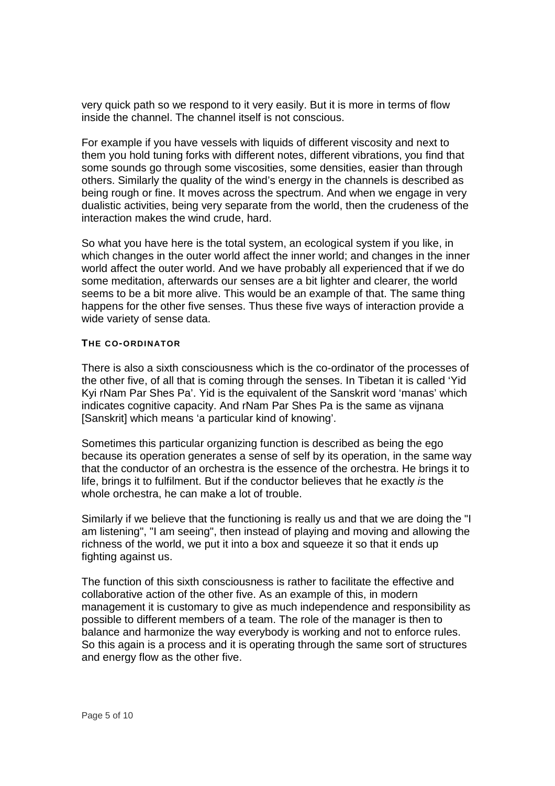very quick path so we respond to it very easily. But it is more in terms of flow inside the channel. The channel itself is not conscious.

For example if you have vessels with liquids of different viscosity and next to them you hold tuning forks with different notes, different vibrations, you find that some sounds go through some viscosities, some densities, easier than through others. Similarly the quality of the wind's energy in the channels is described as being rough or fine. It moves across the spectrum. And when we engage in very dualistic activities, being very separate from the world, then the crudeness of the interaction makes the wind crude, hard.

So what you have here is the total system, an ecological system if you like, in which changes in the outer world affect the inner world; and changes in the inner world affect the outer world. And we have probably all experienced that if we do some meditation, afterwards our senses are a bit lighter and clearer, the world seems to be a bit more alive. This would be an example of that. The same thing happens for the other five senses. Thus these five ways of interaction provide a wide variety of sense data.

#### **THE CO-ORDINATOR**

There is also a sixth consciousness which is the co-ordinator of the processes of the other five, of all that is coming through the senses. In Tibetan it is called 'Yid Kyi rNam Par Shes Pa'. Yid is the equivalent of the Sanskrit word 'manas' which indicates cognitive capacity. And rNam Par Shes Pa is the same as vijnana [Sanskrit] which means 'a particular kind of knowing'.

Sometimes this particular organizing function is described as being the ego because its operation generates a sense of self by its operation, in the same way that the conductor of an orchestra is the essence of the orchestra. He brings it to life, brings it to fulfilment. But if the conductor believes that he exactly is the whole orchestra, he can make a lot of trouble.

Similarly if we believe that the functioning is really us and that we are doing the "I am listening", "I am seeing", then instead of playing and moving and allowing the richness of the world, we put it into a box and squeeze it so that it ends up fighting against us.

The function of this sixth consciousness is rather to facilitate the effective and collaborative action of the other five. As an example of this, in modern management it is customary to give as much independence and responsibility as possible to different members of a team. The role of the manager is then to balance and harmonize the way everybody is working and not to enforce rules. So this again is a process and it is operating through the same sort of structures and energy flow as the other five.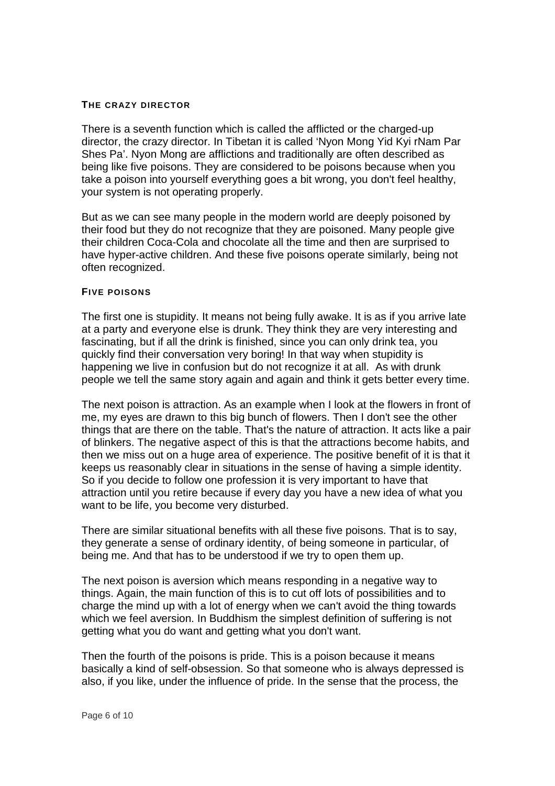#### **THE CRAZY DIRECTOR**

There is a seventh function which is called the afflicted or the charged-up director, the crazy director. In Tibetan it is called 'Nyon Mong Yid Kyi rNam Par Shes Pa'. Nyon Mong are afflictions and traditionally are often described as being like five poisons. They are considered to be poisons because when you take a poison into yourself everything goes a bit wrong, you don't feel healthy, your system is not operating properly.

But as we can see many people in the modern world are deeply poisoned by their food but they do not recognize that they are poisoned. Many people give their children Coca-Cola and chocolate all the time and then are surprised to have hyper-active children. And these five poisons operate similarly, being not often recognized.

#### **FIVE POISONS**

The first one is stupidity. It means not being fully awake. It is as if you arrive late at a party and everyone else is drunk. They think they are very interesting and fascinating, but if all the drink is finished, since you can only drink tea, you quickly find their conversation very boring! In that way when stupidity is happening we live in confusion but do not recognize it at all. As with drunk people we tell the same story again and again and think it gets better every time.

The next poison is attraction. As an example when I look at the flowers in front of me, my eyes are drawn to this big bunch of flowers. Then I don't see the other things that are there on the table. That's the nature of attraction. It acts like a pair of blinkers. The negative aspect of this is that the attractions become habits, and then we miss out on a huge area of experience. The positive benefit of it is that it keeps us reasonably clear in situations in the sense of having a simple identity. So if you decide to follow one profession it is very important to have that attraction until you retire because if every day you have a new idea of what you want to be life, you become very disturbed.

There are similar situational benefits with all these five poisons. That is to say, they generate a sense of ordinary identity, of being someone in particular, of being me. And that has to be understood if we try to open them up.

The next poison is aversion which means responding in a negative way to things. Again, the main function of this is to cut off lots of possibilities and to charge the mind up with a lot of energy when we can't avoid the thing towards which we feel aversion. In Buddhism the simplest definition of suffering is not getting what you do want and getting what you don't want.

Then the fourth of the poisons is pride. This is a poison because it means basically a kind of self-obsession. So that someone who is always depressed is also, if you like, under the influence of pride. In the sense that the process, the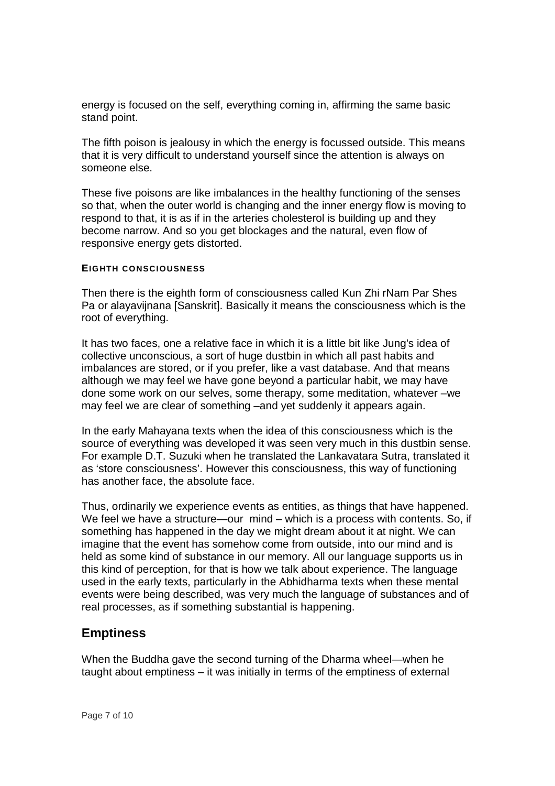energy is focused on the self, everything coming in, affirming the same basic stand point.

The fifth poison is jealousy in which the energy is focussed outside. This means that it is very difficult to understand yourself since the attention is always on someone else.

These five poisons are like imbalances in the healthy functioning of the senses so that, when the outer world is changing and the inner energy flow is moving to respond to that, it is as if in the arteries cholesterol is building up and they become narrow. And so you get blockages and the natural, even flow of responsive energy gets distorted.

#### **EIGHTH CONSCIOUSNESS**

Then there is the eighth form of consciousness called Kun Zhi rNam Par Shes Pa or alayavijnana [Sanskrit]. Basically it means the consciousness which is the root of everything.

It has two faces, one a relative face in which it is a little bit like Jung's idea of collective unconscious, a sort of huge dustbin in which all past habits and imbalances are stored, or if you prefer, like a vast database. And that means although we may feel we have gone beyond a particular habit, we may have done some work on our selves, some therapy, some meditation, whatever –we may feel we are clear of something –and yet suddenly it appears again.

In the early Mahayana texts when the idea of this consciousness which is the source of everything was developed it was seen very much in this dustbin sense. For example D.T. Suzuki when he translated the Lankavatara Sutra, translated it as 'store consciousness'. However this consciousness, this way of functioning has another face, the absolute face.

Thus, ordinarily we experience events as entities, as things that have happened. We feel we have a structure—our mind – which is a process with contents. So, if something has happened in the day we might dream about it at night. We can imagine that the event has somehow come from outside, into our mind and is held as some kind of substance in our memory. All our language supports us in this kind of perception, for that is how we talk about experience. The language used in the early texts, particularly in the Abhidharma texts when these mental events were being described, was very much the language of substances and of real processes, as if something substantial is happening.

### **Emptiness**

When the Buddha gave the second turning of the Dharma wheel—when he taught about emptiness – it was initially in terms of the emptiness of external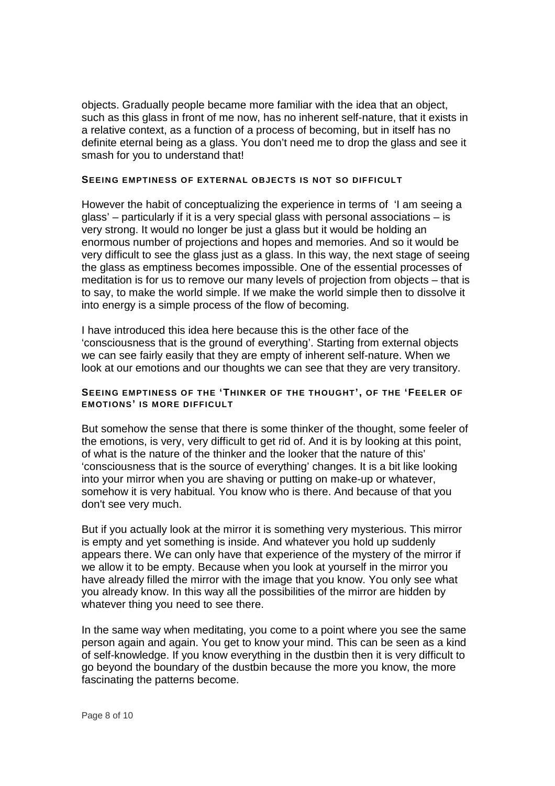objects. Gradually people became more familiar with the idea that an object, such as this glass in front of me now, has no inherent self-nature, that it exists in a relative context, as a function of a process of becoming, but in itself has no definite eternal being as a glass. You don't need me to drop the glass and see it smash for you to understand that!

#### **SEEING EMPTINESS OF EXTERNAL OBJECTS IS NOT SO DIFFICULT**

However the habit of conceptualizing the experience in terms of 'I am seeing a glass' – particularly if it is a very special glass with personal associations – is very strong. It would no longer be just a glass but it would be holding an enormous number of projections and hopes and memories. And so it would be very difficult to see the glass just as a glass. In this way, the next stage of seeing the glass as emptiness becomes impossible. One of the essential processes of meditation is for us to remove our many levels of projection from objects – that is to say, to make the world simple. If we make the world simple then to dissolve it into energy is a simple process of the flow of becoming.

I have introduced this idea here because this is the other face of the 'consciousness that is the ground of everything'. Starting from external objects we can see fairly easily that they are empty of inherent self-nature. When we look at our emotions and our thoughts we can see that they are very transitory.

#### **SEEING EMPTINESS OF THE 'THINKER OF THE THOUGHT', OF THE 'FEELER OF EMOTIONS' IS MORE DIFFICULT**

But somehow the sense that there is some thinker of the thought, some feeler of the emotions, is very, very difficult to get rid of. And it is by looking at this point, of what is the nature of the thinker and the looker that the nature of this' 'consciousness that is the source of everything' changes. It is a bit like looking into your mirror when you are shaving or putting on make-up or whatever, somehow it is very habitual. You know who is there. And because of that you don't see very much.

But if you actually look at the mirror it is something very mysterious. This mirror is empty and yet something is inside. And whatever you hold up suddenly appears there. We can only have that experience of the mystery of the mirror if we allow it to be empty. Because when you look at yourself in the mirror you have already filled the mirror with the image that you know. You only see what you already know. In this way all the possibilities of the mirror are hidden by whatever thing you need to see there.

In the same way when meditating, you come to a point where you see the same person again and again. You get to know your mind. This can be seen as a kind of self-knowledge. If you know everything in the dustbin then it is very difficult to go beyond the boundary of the dustbin because the more you know, the more fascinating the patterns become.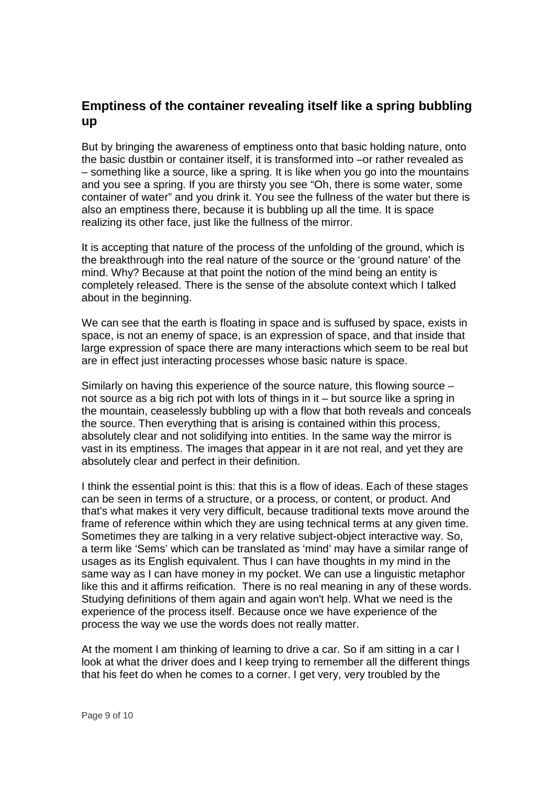# **Emptiness of the container revealing itself like a spring bubbling up**

But by bringing the awareness of emptiness onto that basic holding nature, onto the basic dustbin or container itself, it is transformed into –or rather revealed as – something like a source, like a spring. It is like when you go into the mountains and you see a spring. If you are thirsty you see "Oh, there is some water, some container of water" and you drink it. You see the fullness of the water but there is also an emptiness there, because it is bubbling up all the time. It is space realizing its other face, just like the fullness of the mirror.

It is accepting that nature of the process of the unfolding of the ground, which is the breakthrough into the real nature of the source or the 'ground nature' of the mind. Why? Because at that point the notion of the mind being an entity is completely released. There is the sense of the absolute context which I talked about in the beginning.

We can see that the earth is floating in space and is suffused by space, exists in space, is not an enemy of space, is an expression of space, and that inside that large expression of space there are many interactions which seem to be real but are in effect just interacting processes whose basic nature is space.

Similarly on having this experience of the source nature, this flowing source – not source as a big rich pot with lots of things in it – but source like a spring in the mountain, ceaselessly bubbling up with a flow that both reveals and conceals the source. Then everything that is arising is contained within this process, absolutely clear and not solidifying into entities. In the same way the mirror is vast in its emptiness. The images that appear in it are not real, and yet they are absolutely clear and perfect in their definition.

I think the essential point is this: that this is a flow of ideas. Each of these stages can be seen in terms of a structure, or a process, or content, or product. And that's what makes it very very difficult, because traditional texts move around the frame of reference within which they are using technical terms at any given time. Sometimes they are talking in a very relative subject-object interactive way. So, a term like 'Sems' which can be translated as 'mind' may have a similar range of usages as its English equivalent. Thus I can have thoughts in my mind in the same way as I can have money in my pocket. We can use a linguistic metaphor like this and it affirms reification. There is no real meaning in any of these words. Studying definitions of them again and again won't help. What we need is the experience of the process itself. Because once we have experience of the process the way we use the words does not really matter.

At the moment I am thinking of learning to drive a car. So if am sitting in a car I look at what the driver does and I keep trying to remember all the different things that his feet do when he comes to a corner. I get very, very troubled by the